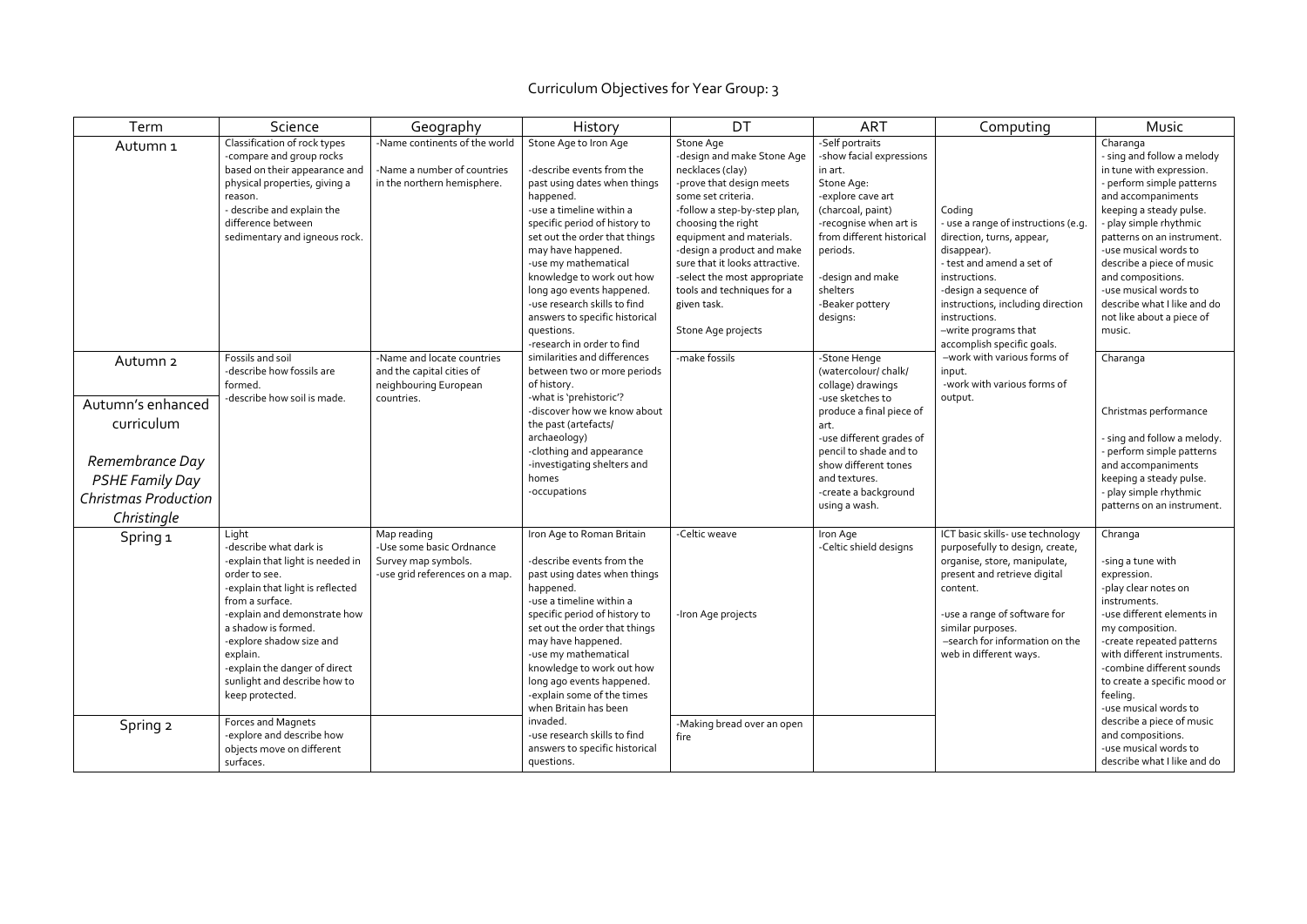## Curriculum Objectives for Year Group: 3

| Term                                                                         | Science                                                                                                                                                                                                                                                                                                                        | Geography                                                                                        | History                                                                                                                                                                                                                                                                                                                                                                                                             | DT                                                                                                                                                                                                                                                                                                                                                                 | <b>ART</b>                                                                                                                                                                                                                                       | Computing                                                                                                                                                                                                                                                                    | <b>Music</b>                                                                                                                                                                                                                                                                                                                                                                       |
|------------------------------------------------------------------------------|--------------------------------------------------------------------------------------------------------------------------------------------------------------------------------------------------------------------------------------------------------------------------------------------------------------------------------|--------------------------------------------------------------------------------------------------|---------------------------------------------------------------------------------------------------------------------------------------------------------------------------------------------------------------------------------------------------------------------------------------------------------------------------------------------------------------------------------------------------------------------|--------------------------------------------------------------------------------------------------------------------------------------------------------------------------------------------------------------------------------------------------------------------------------------------------------------------------------------------------------------------|--------------------------------------------------------------------------------------------------------------------------------------------------------------------------------------------------------------------------------------------------|------------------------------------------------------------------------------------------------------------------------------------------------------------------------------------------------------------------------------------------------------------------------------|------------------------------------------------------------------------------------------------------------------------------------------------------------------------------------------------------------------------------------------------------------------------------------------------------------------------------------------------------------------------------------|
| Autumn 1                                                                     | Classification of rock types<br>-compare and group rocks<br>based on their appearance and<br>physical properties, giving a<br>reason.<br>- describe and explain the<br>difference between<br>sedimentary and igneous rock.                                                                                                     | -Name continents of the world<br>-Name a number of countries<br>in the northern hemisphere.      | Stone Age to Iron Age<br>-describe events from the<br>past using dates when things<br>happened.<br>-use a timeline within a<br>specific period of history to<br>set out the order that things<br>may have happened.<br>-use my mathematical<br>knowledge to work out how<br>long ago events happened.<br>-use research skills to find<br>answers to specific historical<br>questions.<br>-research in order to find | Stone Age<br>-design and make Stone Age<br>necklaces (clay)<br>-prove that design meets<br>some set criteria.<br>-follow a step-by-step plan,<br>choosing the right<br>equipment and materials.<br>-design a product and make<br>sure that it looks attractive.<br>-select the most appropriate<br>tools and techniques for a<br>given task.<br>Stone Age projects | -Self portraits<br>-show facial expressions<br>in art.<br>Stone Age:<br>-explore cave art<br>(charcoal, paint)<br>-recognise when art is<br>from different historical<br>periods.<br>-design and make<br>shelters<br>-Beaker pottery<br>designs: | Coding<br>- use a range of instructions (e.g.<br>direction, turns, appear,<br>disappear).<br>- test and amend a set of<br>instructions.<br>-design a sequence of<br>instructions, including direction<br>instructions.<br>-write programs that<br>accomplish specific goals. | Charanga<br>- sing and follow a melody<br>in tune with expression.<br>- perform simple patterns<br>and accompaniments<br>keeping a steady pulse.<br>- play simple rhythmic<br>patterns on an instrument.<br>-use musical words to<br>describe a piece of music<br>and compositions.<br>-use musical words to<br>describe what I like and do<br>not like about a piece of<br>music. |
| Autumn <sub>2</sub>                                                          | Fossils and soil<br>-describe how fossils are<br>formed.                                                                                                                                                                                                                                                                       | -Name and locate countries<br>and the capital cities of<br>neighbouring European                 | similarities and differences<br>between two or more periods<br>of history.                                                                                                                                                                                                                                                                                                                                          | -make fossils                                                                                                                                                                                                                                                                                                                                                      | -Stone Henge<br>(watercolour/chalk/<br>collage) drawings                                                                                                                                                                                         | -work with various forms of<br>input.<br>-work with various forms of                                                                                                                                                                                                         | Charanga                                                                                                                                                                                                                                                                                                                                                                           |
| Autumn's enhanced<br>curriculum<br>Remembrance Day<br><b>PSHE Family Day</b> | -describe how soil is made.                                                                                                                                                                                                                                                                                                    | countries.                                                                                       | -what is 'prehistoric'?<br>-discover how we know about<br>the past (artefacts/<br>archaeology)<br>-clothing and appearance<br>-investigating shelters and<br>homes<br>-occupations                                                                                                                                                                                                                                  |                                                                                                                                                                                                                                                                                                                                                                    | -use sketches to<br>produce a final piece of<br>art.<br>-use different grades of<br>pencil to shade and to<br>show different tones<br>and textures.<br>-create a background<br>using a wash.                                                     | output.                                                                                                                                                                                                                                                                      | Christmas performance<br>- sing and follow a melody.<br>perform simple patterns<br>and accompaniments<br>keeping a steady pulse.<br>- play simple rhythmic                                                                                                                                                                                                                         |
| <b>Christmas Production</b><br>Christingle                                   |                                                                                                                                                                                                                                                                                                                                |                                                                                                  |                                                                                                                                                                                                                                                                                                                                                                                                                     |                                                                                                                                                                                                                                                                                                                                                                    |                                                                                                                                                                                                                                                  |                                                                                                                                                                                                                                                                              | patterns on an instrument.                                                                                                                                                                                                                                                                                                                                                         |
| Spring 1                                                                     | Light<br>-describe what dark is<br>-explain that light is needed in<br>order to see.<br>-explain that light is reflected<br>from a surface.<br>-explain and demonstrate how<br>a shadow is formed.<br>-explore shadow size and<br>explain.<br>-explain the danger of direct<br>sunlight and describe how to<br>keep protected. | Map reading<br>-Use some basic Ordnance<br>Survey map symbols.<br>-use grid references on a map. | Iron Age to Roman Britain<br>-describe events from the<br>past using dates when things<br>happened.<br>-use a timeline within a<br>specific period of history to<br>set out the order that things<br>may have happened.<br>-use my mathematical<br>knowledge to work out how<br>long ago events happened.<br>-explain some of the times<br>when Britain has been                                                    | -Celtic weave<br>-Iron Age projects                                                                                                                                                                                                                                                                                                                                | Iron Age<br>-Celtic shield designs                                                                                                                                                                                                               | ICT basic skills- use technology<br>purposefully to design, create,<br>organise, store, manipulate,<br>present and retrieve digital<br>content.<br>-use a range of software for<br>similar purposes.<br>-search for information on the<br>web in different ways.             | Chranga<br>-sing a tune with<br>expression.<br>-play clear notes on<br>instruments.<br>-use different elements in<br>my composition.<br>-create repeated patterns<br>with different instruments.<br>-combine different sounds<br>to create a specific mood or<br>feeling.<br>-use musical words to                                                                                 |
| Spring 2                                                                     | Forces and Magnets<br>-explore and describe how<br>objects move on different<br>surfaces.                                                                                                                                                                                                                                      |                                                                                                  | invaded.<br>-use research skills to find<br>answers to specific historical<br>questions.                                                                                                                                                                                                                                                                                                                            | -Making bread over an open<br>fire                                                                                                                                                                                                                                                                                                                                 |                                                                                                                                                                                                                                                  |                                                                                                                                                                                                                                                                              | describe a piece of music<br>and compositions.<br>-use musical words to<br>describe what I like and do                                                                                                                                                                                                                                                                             |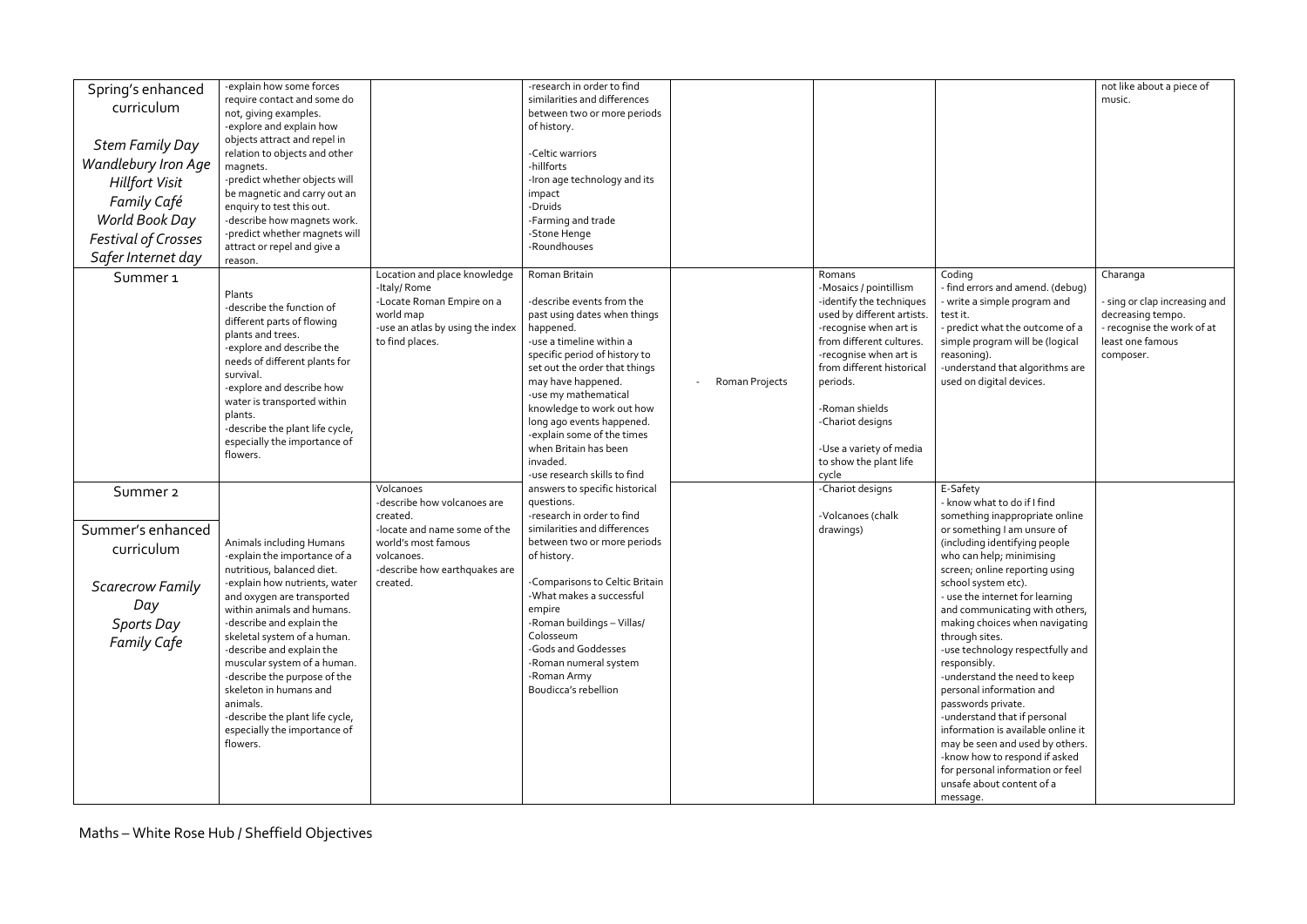| Spring's enhanced          | -explain how some forces                                     |                                          | -research in order to find                                  |                |                                                        |                                                                       | not like about a piece of                          |
|----------------------------|--------------------------------------------------------------|------------------------------------------|-------------------------------------------------------------|----------------|--------------------------------------------------------|-----------------------------------------------------------------------|----------------------------------------------------|
| curriculum                 | require contact and some do<br>not, giving examples.         |                                          | similarities and differences<br>between two or more periods |                |                                                        |                                                                       | music.                                             |
|                            | -explore and explain how                                     |                                          | of history.                                                 |                |                                                        |                                                                       |                                                    |
| <b>Stem Family Day</b>     | objects attract and repel in                                 |                                          |                                                             |                |                                                        |                                                                       |                                                    |
| Wandlebury Iron Age        | relation to objects and other                                |                                          | -Celtic warriors                                            |                |                                                        |                                                                       |                                                    |
|                            | magnets.<br>-predict whether objects will                    |                                          | -hillforts<br>-Iron age technology and its                  |                |                                                        |                                                                       |                                                    |
| <b>Hillfort Visit</b>      | be magnetic and carry out an                                 |                                          | impact                                                      |                |                                                        |                                                                       |                                                    |
| Family Café                | enquiry to test this out.                                    |                                          | -Druids                                                     |                |                                                        |                                                                       |                                                    |
| World Book Day             | -describe how magnets work.                                  |                                          | -Farming and trade                                          |                |                                                        |                                                                       |                                                    |
| <b>Festival of Crosses</b> | -predict whether magnets will<br>attract or repel and give a |                                          | -Stone Henge<br>-Roundhouses                                |                |                                                        |                                                                       |                                                    |
| Safer Internet day         | reason.                                                      |                                          |                                                             |                |                                                        |                                                                       |                                                    |
| Summer <sub>1</sub>        |                                                              | Location and place knowledge             | Roman Britain                                               |                | Romans                                                 | Coding                                                                | Charanga                                           |
|                            | Plants                                                       | -Italy/Rome                              |                                                             |                | -Mosaics / pointillism                                 | - find errors and amend. (debug)                                      |                                                    |
|                            | -describe the function of                                    | -Locate Roman Empire on a<br>world map   | -describe events from the<br>past using dates when things   |                | -identify the techniques<br>used by different artists. | - write a simple program and<br>test it.                              | - sing or clap increasing and<br>decreasing tempo. |
|                            | different parts of flowing                                   | -use an atlas by using the index         | happened.                                                   |                | -recognise when art is                                 | - predict what the outcome of a                                       | - recognise the work of at                         |
|                            | plants and trees.<br>-explore and describe the               | to find places.                          | -use a timeline within a                                    |                | from different cultures.                               | simple program will be (logical                                       | least one famous                                   |
|                            | needs of different plants for                                |                                          | specific period of history to                               |                | -recognise when art is                                 | reasoning).                                                           | composer.                                          |
|                            | survival.                                                    |                                          | set out the order that things<br>may have happened.         |                | from different historical                              | -understand that algorithms are<br>used on digital devices.           |                                                    |
|                            | -explore and describe how                                    |                                          | -use my mathematical                                        | Roman Projects | periods.                                               |                                                                       |                                                    |
|                            | water is transported within<br>plants.                       |                                          | knowledge to work out how                                   |                | Roman shields                                          |                                                                       |                                                    |
|                            | -describe the plant life cycle,                              |                                          | long ago events happened.                                   |                | -Chariot designs                                       |                                                                       |                                                    |
|                            | especially the importance of                                 |                                          | -explain some of the times<br>when Britain has been         |                | -Use a variety of media                                |                                                                       |                                                    |
|                            | flowers.                                                     |                                          | invaded.                                                    |                | to show the plant life                                 |                                                                       |                                                    |
|                            |                                                              |                                          | -use research skills to find                                |                | cycle                                                  |                                                                       |                                                    |
| Summer <sub>2</sub>        |                                                              | Volcanoes                                | answers to specific historical                              |                | -Chariot designs                                       | E-Safety                                                              |                                                    |
|                            |                                                              | -describe how volcanoes are              | questions.<br>-research in order to find                    |                |                                                        | - know what to do if I find                                           |                                                    |
| Summer's enhanced          |                                                              | created.<br>-locate and name some of the | similarities and differences                                |                | -Volcanoes (chalk<br>drawings)                         | something inappropriate online<br>or something I am unsure of         |                                                    |
|                            | Animals including Humans                                     | world's most famous                      | between two or more periods                                 |                |                                                        | (including identifying people                                         |                                                    |
| curriculum                 | -explain the importance of a                                 | volcanoes.                               | of history.                                                 |                |                                                        | who can help; minimising                                              |                                                    |
|                            | nutritious, balanced diet.                                   | -describe how earthquakes are            |                                                             |                |                                                        | screen; online reporting using                                        |                                                    |
| <b>Scarecrow Family</b>    | -explain how nutrients, water<br>and oxygen are transported  | created.                                 | -Comparisons to Celtic Britain<br>-What makes a successful  |                |                                                        | school system etc).<br>- use the internet for learning                |                                                    |
| Day                        | within animals and humans.                                   |                                          | empire                                                      |                |                                                        | and communicating with others,                                        |                                                    |
| <b>Sports Day</b>          | -describe and explain the                                    |                                          | -Roman buildings - Villas/                                  |                |                                                        | making choices when navigating                                        |                                                    |
| <b>Family Cafe</b>         | skeletal system of a human.                                  |                                          | Colosseum                                                   |                |                                                        | through sites.                                                        |                                                    |
|                            | -describe and explain the<br>muscular system of a human.     |                                          | -Gods and Goddesses<br>-Roman numeral system                |                |                                                        | -use technology respectfully and<br>responsibly.                      |                                                    |
|                            | -describe the purpose of the                                 |                                          | -Roman Army                                                 |                |                                                        | -understand the need to keep                                          |                                                    |
|                            | skeleton in humans and                                       |                                          | Boudicca's rebellion                                        |                |                                                        | personal information and                                              |                                                    |
|                            | animals.                                                     |                                          |                                                             |                |                                                        | passwords private.                                                    |                                                    |
|                            | -describe the plant life cycle,                              |                                          |                                                             |                |                                                        | -understand that if personal                                          |                                                    |
|                            | especially the importance of<br>flowers.                     |                                          |                                                             |                |                                                        | information is available online it<br>may be seen and used by others. |                                                    |
|                            |                                                              |                                          |                                                             |                |                                                        | -know how to respond if asked                                         |                                                    |
|                            |                                                              |                                          |                                                             |                |                                                        | for personal information or feel                                      |                                                    |
|                            |                                                              |                                          |                                                             |                |                                                        | unsafe about content of a                                             |                                                    |
|                            |                                                              |                                          |                                                             |                |                                                        | message.                                                              |                                                    |